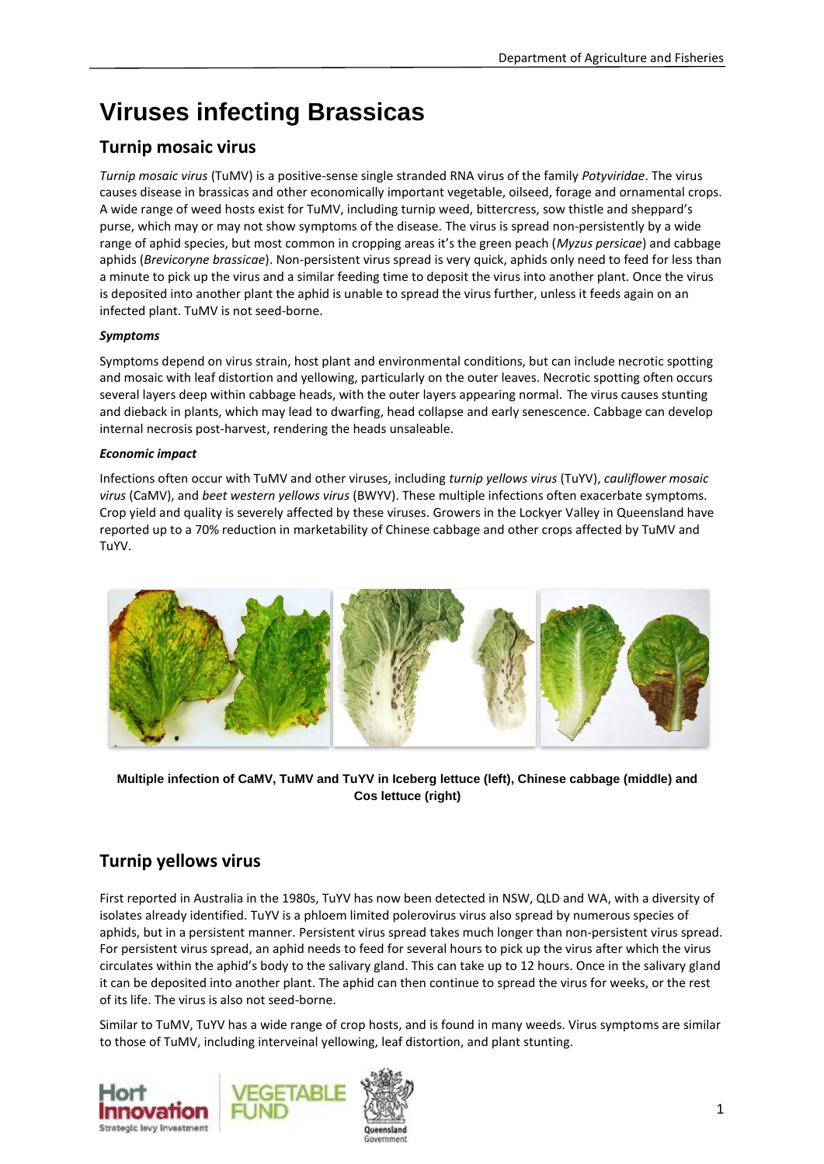# **Viruses infecting Brassicas**

# **Turnip mosaic virus**

*Turnip mosaic virus* (TuMV) is a positive-sense single stranded RNA virus of the family *Potyviridae*. The virus causes disease in brassicas and other economically important vegetable, oilseed, forage and ornamental crops. A wide range of weed hosts exist for TuMV, including turnip weed, bittercress, sow thistle and sheppard's purse, which may or may not show symptoms of the disease. The virus is spread non-persistently by a wide range of aphid species, but most common in cropping areas it's the green peach (*Myzus persicae*) and cabbage aphids (*Brevicoryne brassicae*). Non-persistent virus spread is very quick, aphids only need to feed for less than a minute to pick up the virus and a similar feeding time to deposit the virus into another plant. Once the virus is deposited into another plant the aphid is unable to spread the virus further, unless it feeds again on an infected plant. TuMV is not seed-borne.

#### *Symptoms*

Symptoms depend on virus strain, host plant and environmental conditions, but can include necrotic spotting and mosaic with leaf distortion and yellowing, particularly on the outer leaves. Necrotic spotting often occurs several layers deep within cabbage heads, with the outer layers appearing normal. The virus causes stunting and dieback in plants, which may lead to dwarfing, head collapse and early senescence. Cabbage can develop internal necrosis post-harvest, rendering the heads unsaleable.

#### *Economic impact*

Infections often occur with TuMV and other viruses, including *turnip yellows virus* (TuYV), *cauliflower mosaic virus* (CaMV), and *beet western yellows virus* (BWYV). These multiple infections often exacerbate symptoms. Crop yield and quality is severely affected by these viruses. Growers in the Lockyer Valley in Queensland have reported up to a 70% reduction in marketability of Chinese cabbage and other crops affected by TuMV and TuYV.



**Multiple infection of CaMV, TuMV and TuYV in Iceberg lettuce (left), Chinese cabbage (middle) and Cos lettuce (right)**

# **Turnip yellows virus**

First reported in Australia in the 1980s, TuYV has now been detected in NSW, QLD and WA, with a diversity of isolates already identified. TuYV is a phloem limited polerovirus virus also spread by numerous species of aphids, but in a persistent manner. Persistent virus spread takes much longer than non-persistent virus spread. For persistent virus spread, an aphid needs to feed for several hours to pick up the virus after which the virus circulates within the aphid's body to the salivary gland. This can take up to 12 hours. Once in the salivary gland it can be deposited into another plant. The aphid can then continue to spread the virus for weeks, or the rest of its life. The virus is also not seed-borne.

Similar to TuMV, TuYV has a wide range of crop hosts, and is found in many weeds. Virus symptoms are similar to those of TuMV, including interveinal yellowing, leaf distortion, and plant stunting.

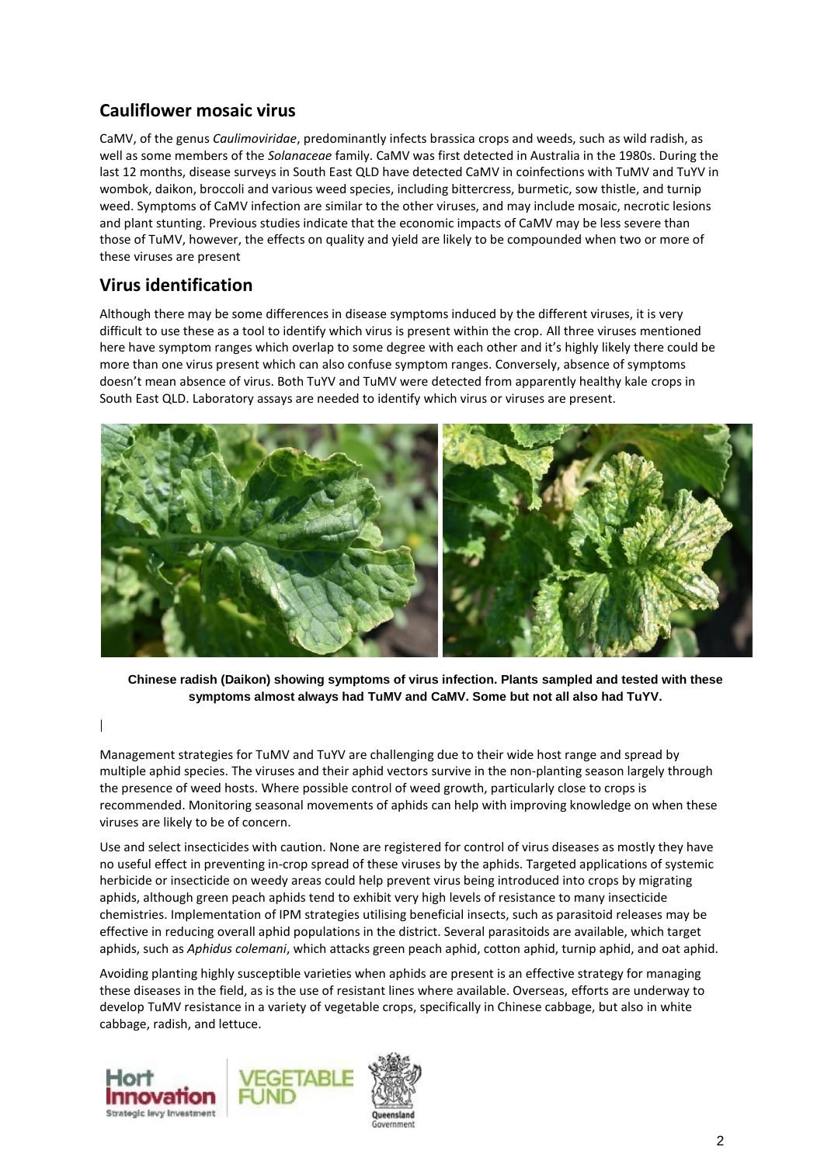# **Cauliflower mosaic virus**

CaMV, of the genus *Caulimoviridae*, predominantly infects brassica crops and weeds, such as wild radish, as well as some members of the *Solanaceae* family. CaMV was first detected in Australia in the 1980s. During the last 12 months, disease surveys in South East QLD have detected CaMV in coinfections with TuMV and TuYV in wombok, daikon, broccoli and various weed species, including bittercress, burmetic, sow thistle, and turnip weed. Symptoms of CaMV infection are similar to the other viruses, and may include mosaic, necrotic lesions and plant stunting. Previous studies indicate that the economic impacts of CaMV may be less severe than those of TuMV, however, the effects on quality and yield are likely to be compounded when two or more of these viruses are present

### **Virus identification**

Although there may be some differences in disease symptoms induced by the different viruses, it is very difficult to use these as a tool to identify which virus is present within the crop. All three viruses mentioned here have symptom ranges which overlap to some degree with each other and it's highly likely there could be more than one virus present which can also confuse symptom ranges. Conversely, absence of symptoms doesn't mean absence of virus. Both TuYV and TuMV were detected from apparently healthy kale crops in South East QLD. Laboratory assays are needed to identify which virus or viruses are present.



**Chinese radish (Daikon) showing symptoms of virus infection. Plants sampled and tested with these symptoms almost always had TuMV and CaMV. Some but not all also had TuYV.** 

Management strategies for TuMV and TuYV are challenging due to their wide host range and spread by multiple aphid species. The viruses and their aphid vectors survive in the non-planting season largely through the presence of weed hosts. Where possible control of weed growth, particularly close to crops is recommended. Monitoring seasonal movements of aphids can help with improving knowledge on when these viruses are likely to be of concern.

Use and select insecticides with caution. None are registered for control of virus diseases as mostly they have no useful effect in preventing in-crop spread of these viruses by the aphids. Targeted applications of systemic herbicide or insecticide on weedy areas could help prevent virus being introduced into crops by migrating aphids, although green peach aphids tend to exhibit very high levels of resistance to many insecticide chemistries. Implementation of IPM strategies utilising beneficial insects, such as parasitoid releases may be effective in reducing overall aphid populations in the district. Several parasitoids are available, which target aphids, such as *Aphidus colemani*, which attacks green peach aphid, cotton aphid, turnip aphid, and oat aphid.

Avoiding planting highly susceptible varieties when aphids are present is an effective strategy for managing these diseases in the field, as is the use of resistant lines where available. Overseas, efforts are underway to develop TuMV resistance in a variety of vegetable crops, specifically in Chinese cabbage, but also in white cabbage, radish, and lettuce.